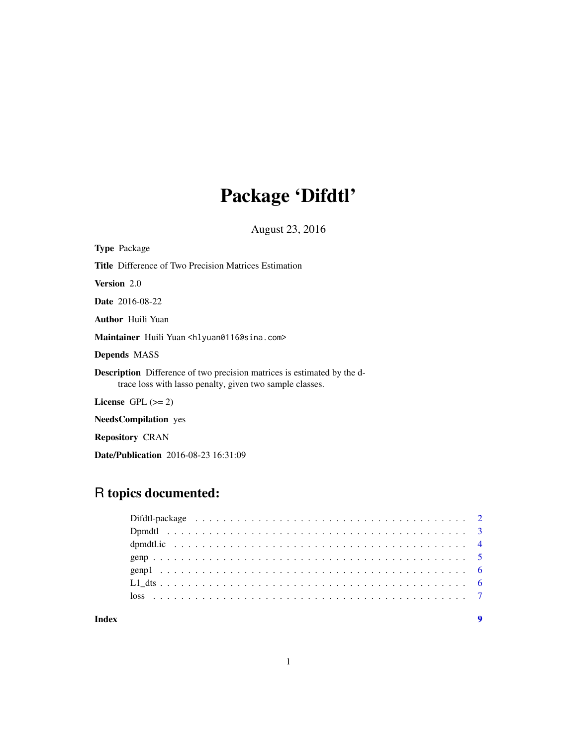## Package 'Difdtl'

August 23, 2016

| <b>Type Package</b>                                                                                                                        |
|--------------------------------------------------------------------------------------------------------------------------------------------|
| <b>Title</b> Difference of Two Precision Matrices Estimation                                                                               |
| <b>Version</b> 2.0                                                                                                                         |
| <b>Date</b> 2016-08-22                                                                                                                     |
| <b>Author</b> Huili Yuan                                                                                                                   |
| Maintainer Huili Yuan <hlyuan0116@sina.com></hlyuan0116@sina.com>                                                                          |
| <b>Depends MASS</b>                                                                                                                        |
| <b>Description</b> Difference of two precision matrices is estimated by the d-<br>trace loss with lasso penalty, given two sample classes. |
| License $GPL \, (= 2)$                                                                                                                     |
| <b>NeedsCompilation</b> yes                                                                                                                |

Repository CRAN

Date/Publication 2016-08-23 16:31:09

## R topics documented:

| Index | $\mathbf Q$ |
|-------|-------------|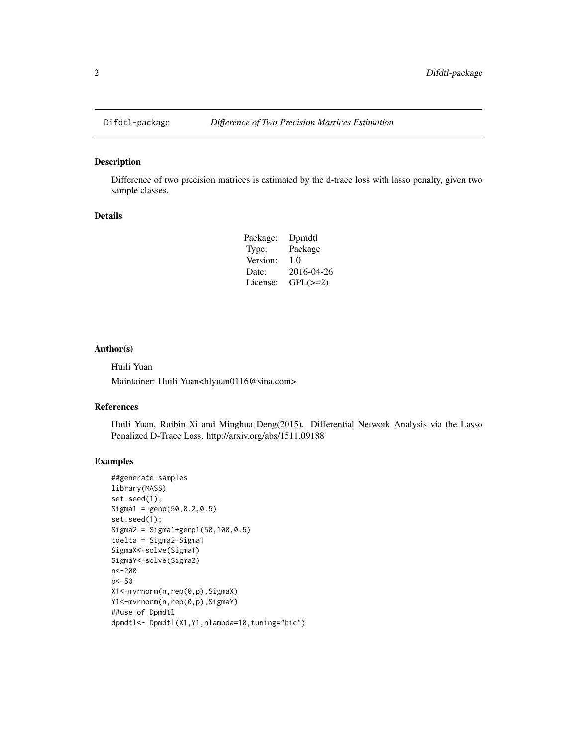<span id="page-1-0"></span>

### Description

Difference of two precision matrices is estimated by the d-trace loss with lasso penalty, given two sample classes.

#### Details

| Dpmdtl        |
|---------------|
| Package       |
| 1.0           |
| 2016-04-26    |
| $GPL(\geq=2)$ |
|               |

#### Author(s)

Huili Yuan

Maintainer: Huili Yuan<hlyuan0116@sina.com>

#### References

Huili Yuan, Ruibin Xi and Minghua Deng(2015). Differential Network Analysis via the Lasso Penalized D-Trace Loss. http://arxiv.org/abs/1511.09188

#### Examples

```
##generate samples
library(MASS)
set.seed(1);
Sigma1 = genp(50, 0.2, 0.5)set.seed(1);
Sigma2 = Sigma1+genp1(50,100,0.5)
tdelta = Sigma2-Sigma1
SigmaX<-solve(Sigma1)
SigmaY<-solve(Sigma2)
n<-200
p<-50
X1<-mvrnorm(n,rep(0,p),SigmaX)
Y1<-mvrnorm(n,rep(0,p),SigmaY)
##use of Dpmdtl
dpmdtl<- Dpmdtl(X1,Y1,nlambda=10,tuning="bic")
```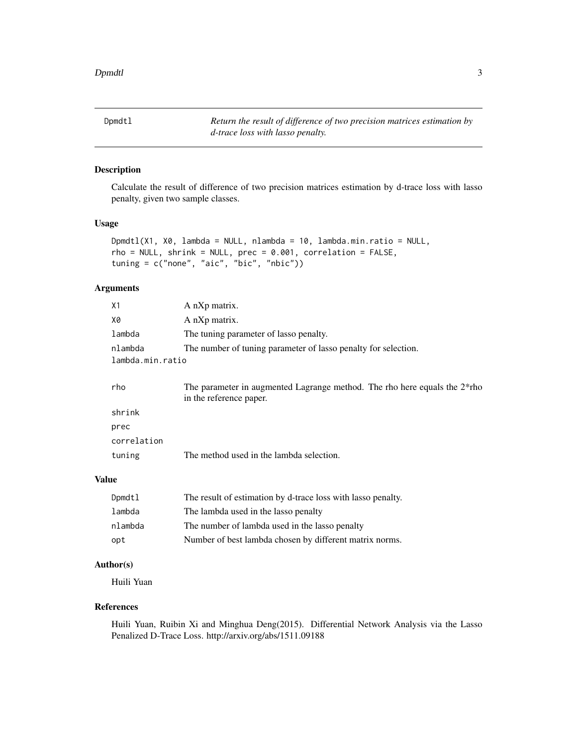<span id="page-2-0"></span>Dpmdtl *Return the result of difference of two precision matrices estimation by d-trace loss with lasso penalty.*

#### Description

Calculate the result of difference of two precision matrices estimation by d-trace loss with lasso penalty, given two sample classes.

#### Usage

```
Dpmdtl(X1, X0, lambda = NULL, nlambda = 10, lambda.min.ratio = NULL,
rho = NULL, shrink = NULL, prec = 0.001, correlation = FALSE,
tuning = c("none", "aic", "bic", "nbic"))
```
#### Arguments

| Χ1               | A nXp matrix.                                                                                        |
|------------------|------------------------------------------------------------------------------------------------------|
| Х0               | A nXp matrix.                                                                                        |
| lambda           | The tuning parameter of lasso penalty.                                                               |
| nlambda          | The number of tuning parameter of lasso penalty for selection.                                       |
| lambda.min.ratio |                                                                                                      |
| rho              | The parameter in augmented Lagrange method. The rho here equals the 2*rho<br>in the reference paper. |
| shrink           |                                                                                                      |
| prec             |                                                                                                      |
| correlation      |                                                                                                      |
| tuning           | The method used in the lambda selection.                                                             |
|                  |                                                                                                      |
| ιe               |                                                                                                      |

#### Valu

| Dpmdtl  | The result of estimation by d-trace loss with lasso penalty. |
|---------|--------------------------------------------------------------|
| lambda  | The lambda used in the lasso penalty                         |
| nlambda | The number of lambda used in the lasso penalty               |
| opt     | Number of best lambda chosen by different matrix norms.      |

#### Author(s)

Huili Yuan

#### References

Huili Yuan, Ruibin Xi and Minghua Deng(2015). Differential Network Analysis via the Lasso Penalized D-Trace Loss. http://arxiv.org/abs/1511.09188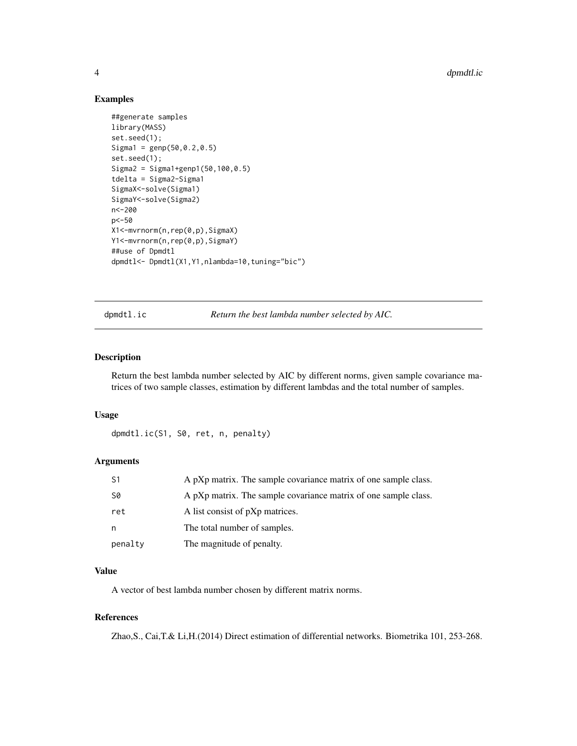<span id="page-3-0"></span>4 dpmdtl.ic

#### Examples

```
##generate samples
library(MASS)
set.seed(1);
Sigma1 = genp(50,0.2,0.5)
set.seed(1);
Sigma2 = Sigma1+genp1(50,100,0.5)
tdelta = Sigma2-Sigma1
SigmaX<-solve(Sigma1)
SigmaY<-solve(Sigma2)
n<-200
p<-50
X1<-mvrnorm(n,rep(0,p),SigmaX)
Y1<-mvrnorm(n,rep(0,p),SigmaY)
##use of Dpmdtl
dpmdtl<- Dpmdtl(X1,Y1,nlambda=10,tuning="bic")
```
dpmdtl.ic *Return the best lambda number selected by AIC.*

#### Description

Return the best lambda number selected by AIC by different norms, given sample covariance matrices of two sample classes, estimation by different lambdas and the total number of samples.

#### Usage

dpmdtl.ic(S1, S0, ret, n, penalty)

#### Arguments

| S1        | A pXp matrix. The sample covariance matrix of one sample class. |
|-----------|-----------------------------------------------------------------|
| <b>S0</b> | A pXp matrix. The sample covariance matrix of one sample class. |
| ret       | A list consist of pXp matrices.                                 |
| n         | The total number of samples.                                    |
| penalty   | The magnitude of penalty.                                       |

#### Value

A vector of best lambda number chosen by different matrix norms.

#### References

Zhao,S., Cai,T.& Li,H.(2014) Direct estimation of differential networks. Biometrika 101, 253-268.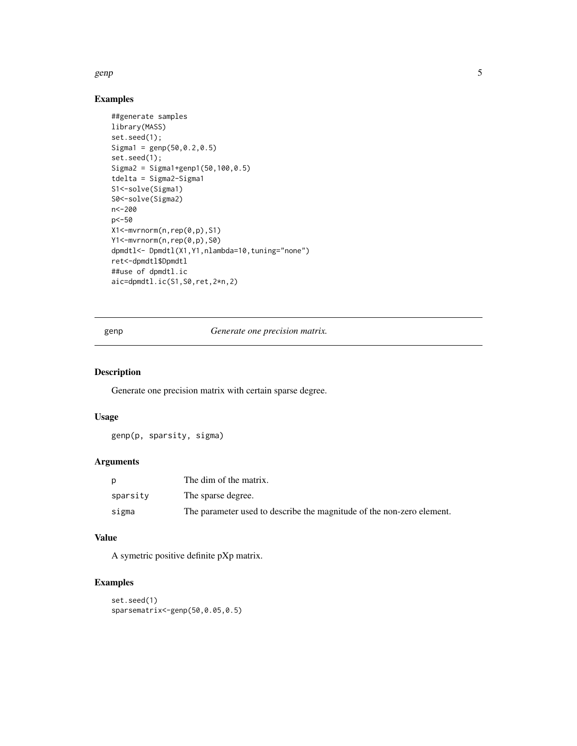#### <span id="page-4-0"></span>genp 5 and 5 and 5 and 5 and 5 and 5 and 5 and 5 and 5 and 5 and 5 and 5 and 5 and 5 and 5 and 5 and 5 and 5 and 5 and 5 and 5 and 5 and 5 and 5 and 5 and 5 and 5 and 5 and 5 and 5 and 5 and 5 and 5 and 5 and 5 and 5 and 5

#### Examples

```
##generate samples
library(MASS)
set.seed(1);
Sigma1 = genp(50,0.2,0.5)
set.seed(1);
Sigma2 = Sigma1+genp1(50,100,0.5)
tdelta = Sigma2-Sigma1
S1<-solve(Sigma1)
S0<-solve(Sigma2)
n<-200
p<-50
X1<-mvrnorm(n,rep(0,p),S1)
Y1<-mvrnorm(n,rep(0,p),S0)
dpmdtl <- Dpmdtl(X1, Y1, nlambda=10, tuning="none")
ret<-dpmdtl$Dpmdtl
##use of dpmdtl.ic
aic=dpmdtl.ic(S1,S0,ret,2*n,2)
```
genp *Generate one precision matrix.*

#### Description

Generate one precision matrix with certain sparse degree.

#### Usage

genp(p, sparsity, sigma)

#### Arguments

|          | The dim of the matrix.                                                |
|----------|-----------------------------------------------------------------------|
| sparsity | The sparse degree.                                                    |
| sigma    | The parameter used to describe the magnitude of the non-zero element. |

#### Value

A symetric positive definite pXp matrix.

#### Examples

```
set.seed(1)
sparsematrix<-genp(50,0.05,0.5)
```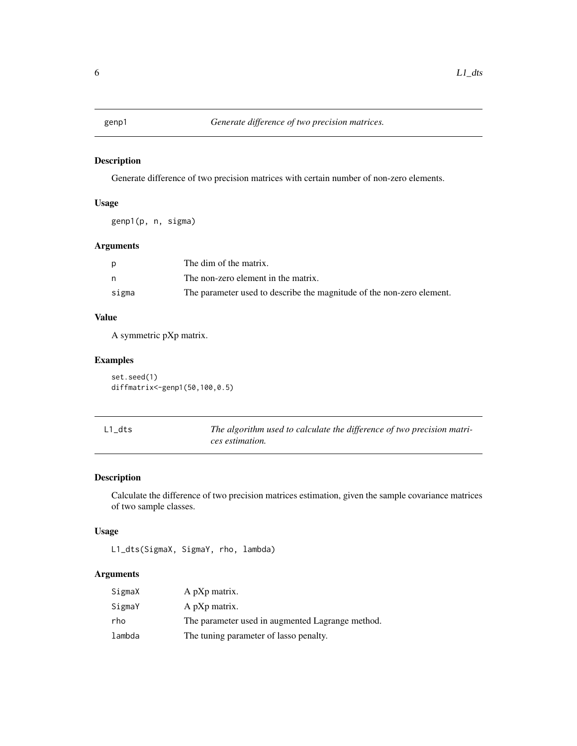<span id="page-5-0"></span>

#### Description

Generate difference of two precision matrices with certain number of non-zero elements.

#### Usage

genp1(p, n, sigma)

#### Arguments

|       | The dim of the matrix.                                                |
|-------|-----------------------------------------------------------------------|
|       | The non-zero element in the matrix.                                   |
| sigma | The parameter used to describe the magnitude of the non-zero element. |

#### Value

A symmetric pXp matrix.

#### Examples

set.seed(1) diffmatrix<-genp1(50,100,0.5)

| L1 dts | The algorithm used to calculate the difference of two precision matri- |
|--------|------------------------------------------------------------------------|
|        | ces estimation.                                                        |

#### Description

Calculate the difference of two precision matrices estimation, given the sample covariance matrices of two sample classes.

#### Usage

```
L1_dts(SigmaX, SigmaY, rho, lambda)
```
#### Arguments

| SigmaX | A pXp matrix.                                    |
|--------|--------------------------------------------------|
| SigmaY | A pXp matrix.                                    |
| rho    | The parameter used in augmented Lagrange method. |
| lambda | The tuning parameter of lasso penalty.           |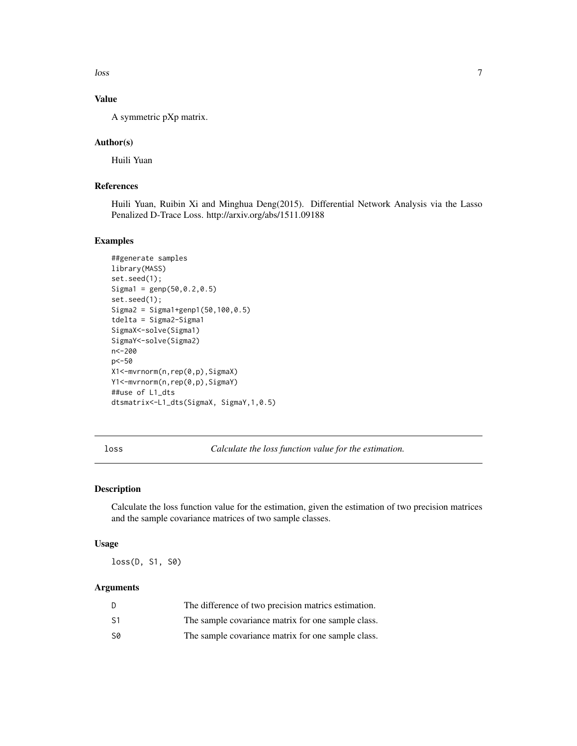<span id="page-6-0"></span> $\log$  loss  $\sim$  7

#### Value

A symmetric pXp matrix.

#### Author(s)

Huili Yuan

#### References

Huili Yuan, Ruibin Xi and Minghua Deng(2015). Differential Network Analysis via the Lasso Penalized D-Trace Loss. http://arxiv.org/abs/1511.09188

#### Examples

```
##generate samples
library(MASS)
set.seed(1);
Sigma1 = genp(50,0.2,0.5)
set.seed(1);
Sigma2 = Sigma1+genp1(50,100,0.5)
tdelta = Sigma2-Sigma1
SigmaX<-solve(Sigma1)
SigmaY<-solve(Sigma2)
n<-200
p<-50
X1<-mvrnorm(n,rep(0,p),SigmaX)
Y1<-mvrnorm(n,rep(0,p),SigmaY)
##use of L1_dts
dtsmatrix<-L1_dts(SigmaX, SigmaY,1,0.5)
```
loss *Calculate the loss function value for the estimation.*

#### Description

Calculate the loss function value for the estimation, given the estimation of two precision matrices and the sample covariance matrices of two sample classes.

#### Usage

loss(D, S1, S0)

#### Arguments

| D  | The difference of two precision matrics estimation. |
|----|-----------------------------------------------------|
| S1 | The sample covariance matrix for one sample class.  |
| S0 | The sample covariance matrix for one sample class.  |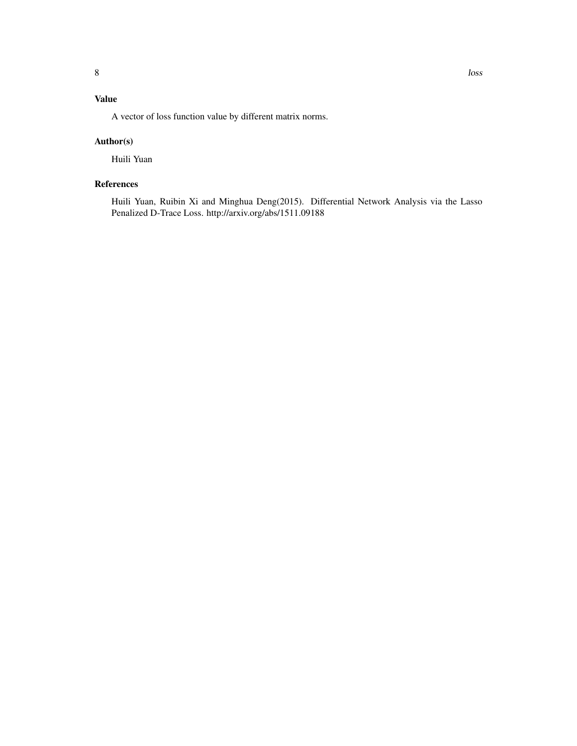### Value

A vector of loss function value by different matrix norms.

#### Author(s)

Huili Yuan

#### References

Huili Yuan, Ruibin Xi and Minghua Deng(2015). Differential Network Analysis via the Lasso Penalized D-Trace Loss. http://arxiv.org/abs/1511.09188